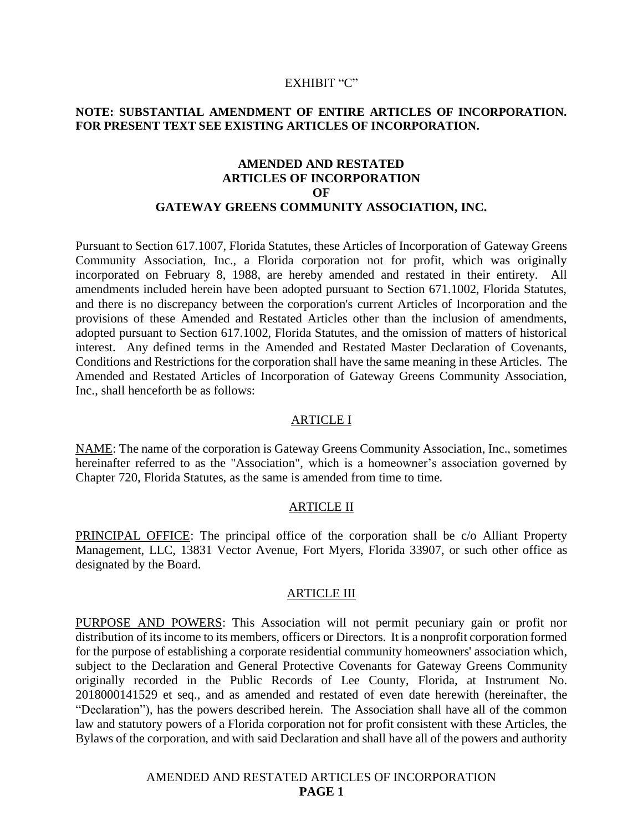### EXHIBIT "C"

### **NOTE: SUBSTANTIAL AMENDMENT OF ENTIRE ARTICLES OF INCORPORATION. FOR PRESENT TEXT SEE EXISTING ARTICLES OF INCORPORATION.**

## **AMENDED AND RESTATED ARTICLES OF INCORPORATION OF GATEWAY GREENS COMMUNITY ASSOCIATION, INC.**

Pursuant to Section 617.1007, Florida Statutes, these Articles of Incorporation of Gateway Greens Community Association, Inc., a Florida corporation not for profit, which was originally incorporated on February 8, 1988, are hereby amended and restated in their entirety. All amendments included herein have been adopted pursuant to Section 671.1002, Florida Statutes, and there is no discrepancy between the corporation's current Articles of Incorporation and the provisions of these Amended and Restated Articles other than the inclusion of amendments, adopted pursuant to Section 617.1002, Florida Statutes, and the omission of matters of historical interest. Any defined terms in the Amended and Restated Master Declaration of Covenants, Conditions and Restrictions for the corporation shall have the same meaning in these Articles. The Amended and Restated Articles of Incorporation of Gateway Greens Community Association, Inc., shall henceforth be as follows:

#### ARTICLE I

NAME: The name of the corporation is Gateway Greens Community Association, Inc., sometimes hereinafter referred to as the "Association", which is a homeowner's association governed by Chapter 720, Florida Statutes, as the same is amended from time to time.

#### ARTICLE II

PRINCIPAL OFFICE: The principal office of the corporation shall be c/o Alliant Property Management, LLC, 13831 Vector Avenue, Fort Myers, Florida 33907, or such other office as designated by the Board.

### **ARTICLE III**

PURPOSE AND POWERS: This Association will not permit pecuniary gain or profit nor distribution of its income to its members, officers or Directors. It is a nonprofit corporation formed for the purpose of establishing a corporate residential community homeowners' association which, subject to the Declaration and General Protective Covenants for Gateway Greens Community originally recorded in the Public Records of Lee County, Florida, at Instrument No. 2018000141529 et seq., and as amended and restated of even date herewith (hereinafter, the "Declaration"), has the powers described herein. The Association shall have all of the common law and statutory powers of a Florida corporation not for profit consistent with these Articles, the Bylaws of the corporation, and with said Declaration and shall have all of the powers and authority

## AMENDED AND RESTATED ARTICLES OF INCORPORATION **PAGE 1**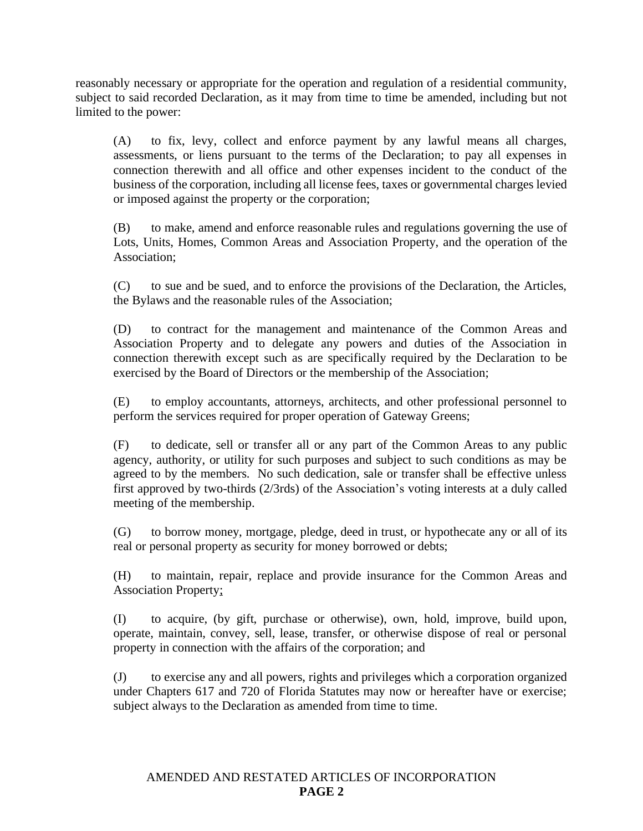reasonably necessary or appropriate for the operation and regulation of a residential community, subject to said recorded Declaration, as it may from time to time be amended, including but not limited to the power:

(A) to fix, levy, collect and enforce payment by any lawful means all charges, assessments, or liens pursuant to the terms of the Declaration; to pay all expenses in connection therewith and all office and other expenses incident to the conduct of the business of the corporation, including all license fees, taxes or governmental charges levied or imposed against the property or the corporation;

(B) to make, amend and enforce reasonable rules and regulations governing the use of Lots, Units, Homes, Common Areas and Association Property, and the operation of the Association;

(C) to sue and be sued, and to enforce the provisions of the Declaration, the Articles, the Bylaws and the reasonable rules of the Association;

(D) to contract for the management and maintenance of the Common Areas and Association Property and to delegate any powers and duties of the Association in connection therewith except such as are specifically required by the Declaration to be exercised by the Board of Directors or the membership of the Association;

(E) to employ accountants, attorneys, architects, and other professional personnel to perform the services required for proper operation of Gateway Greens;

(F) to dedicate, sell or transfer all or any part of the Common Areas to any public agency, authority, or utility for such purposes and subject to such conditions as may be agreed to by the members. No such dedication, sale or transfer shall be effective unless first approved by two-thirds (2/3rds) of the Association's voting interests at a duly called meeting of the membership.

(G) to borrow money, mortgage, pledge, deed in trust, or hypothecate any or all of its real or personal property as security for money borrowed or debts;

(H) to maintain, repair, replace and provide insurance for the Common Areas and Association Property;

(I) to acquire, (by gift, purchase or otherwise), own, hold, improve, build upon, operate, maintain, convey, sell, lease, transfer, or otherwise dispose of real or personal property in connection with the affairs of the corporation; and

(J) to exercise any and all powers, rights and privileges which a corporation organized under Chapters 617 and 720 of Florida Statutes may now or hereafter have or exercise; subject always to the Declaration as amended from time to time.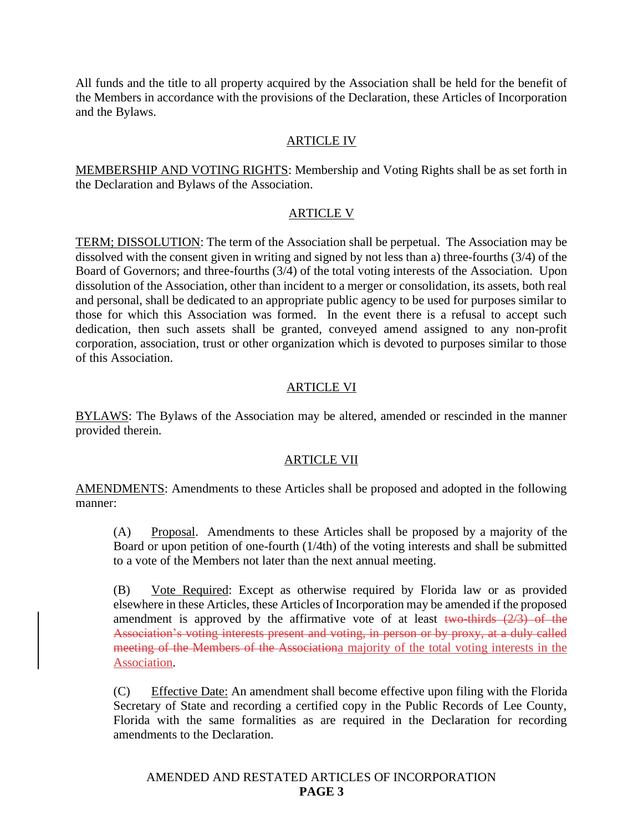All funds and the title to all property acquired by the Association shall be held for the benefit of the Members in accordance with the provisions of the Declaration, these Articles of Incorporation and the Bylaws.

# ARTICLE IV

MEMBERSHIP AND VOTING RIGHTS: Membership and Voting Rights shall be as set forth in the Declaration and Bylaws of the Association.

# ARTICLE V

TERM; DISSOLUTION: The term of the Association shall be perpetual. The Association may be dissolved with the consent given in writing and signed by not less than a) three-fourths (3/4) of the Board of Governors; and three-fourths (3/4) of the total voting interests of the Association. Upon dissolution of the Association, other than incident to a merger or consolidation, its assets, both real and personal, shall be dedicated to an appropriate public agency to be used for purposes similar to those for which this Association was formed. In the event there is a refusal to accept such dedication, then such assets shall be granted, conveyed amend assigned to any non-profit corporation, association, trust or other organization which is devoted to purposes similar to those of this Association.

# ARTICLE VI

BYLAWS: The Bylaws of the Association may be altered, amended or rescinded in the manner provided therein.

# ARTICLE VII

AMENDMENTS: Amendments to these Articles shall be proposed and adopted in the following manner:

(A) Proposal. Amendments to these Articles shall be proposed by a majority of the Board or upon petition of one-fourth (1/4th) of the voting interests and shall be submitted to a vote of the Members not later than the next annual meeting.

(B) Vote Required: Except as otherwise required by Florida law or as provided elsewhere in these Articles, these Articles of Incorporation may be amended if the proposed amendment is approved by the affirmative vote of at least two-thirds  $(2/3)$  of the Association's voting interests present and voting, in person or by proxy, at a duly called meeting of the Members of the Associationa majority of the total voting interests in the Association.

(C) Effective Date: An amendment shall become effective upon filing with the Florida Secretary of State and recording a certified copy in the Public Records of Lee County, Florida with the same formalities as are required in the Declaration for recording amendments to the Declaration.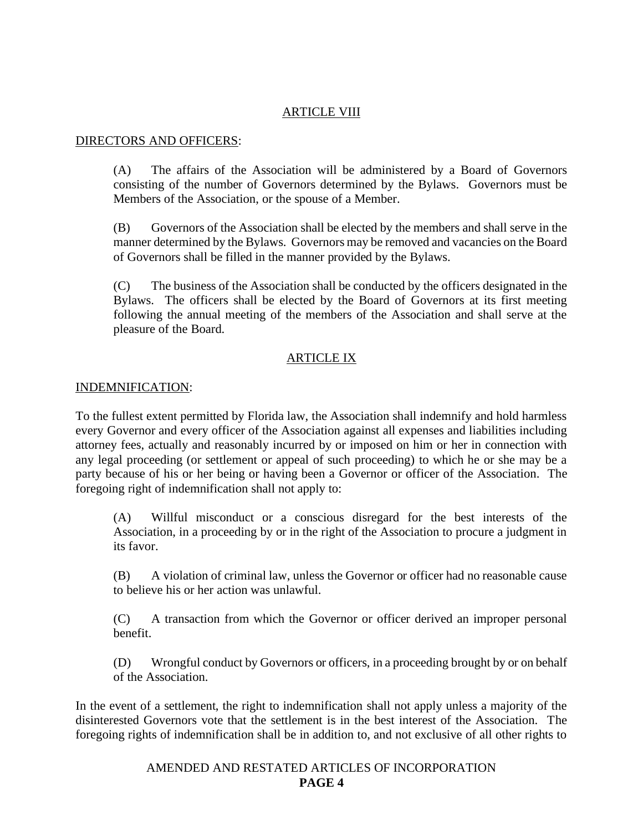# ARTICLE VIII

## DIRECTORS AND OFFICERS:

(A) The affairs of the Association will be administered by a Board of Governors consisting of the number of Governors determined by the Bylaws. Governors must be Members of the Association, or the spouse of a Member.

(B) Governors of the Association shall be elected by the members and shall serve in the manner determined by the Bylaws. Governors may be removed and vacancies on the Board of Governors shall be filled in the manner provided by the Bylaws.

(C) The business of the Association shall be conducted by the officers designated in the Bylaws. The officers shall be elected by the Board of Governors at its first meeting following the annual meeting of the members of the Association and shall serve at the pleasure of the Board.

# ARTICLE IX

## INDEMNIFICATION:

To the fullest extent permitted by Florida law, the Association shall indemnify and hold harmless every Governor and every officer of the Association against all expenses and liabilities including attorney fees, actually and reasonably incurred by or imposed on him or her in connection with any legal proceeding (or settlement or appeal of such proceeding) to which he or she may be a party because of his or her being or having been a Governor or officer of the Association. The foregoing right of indemnification shall not apply to:

(A) Willful misconduct or a conscious disregard for the best interests of the Association, in a proceeding by or in the right of the Association to procure a judgment in its favor.

(B) A violation of criminal law, unless the Governor or officer had no reasonable cause to believe his or her action was unlawful.

(C) A transaction from which the Governor or officer derived an improper personal benefit.

(D) Wrongful conduct by Governors or officers, in a proceeding brought by or on behalf of the Association.

In the event of a settlement, the right to indemnification shall not apply unless a majority of the disinterested Governors vote that the settlement is in the best interest of the Association. The foregoing rights of indemnification shall be in addition to, and not exclusive of all other rights to

> AMENDED AND RESTATED ARTICLES OF INCORPORATION **PAGE 4**